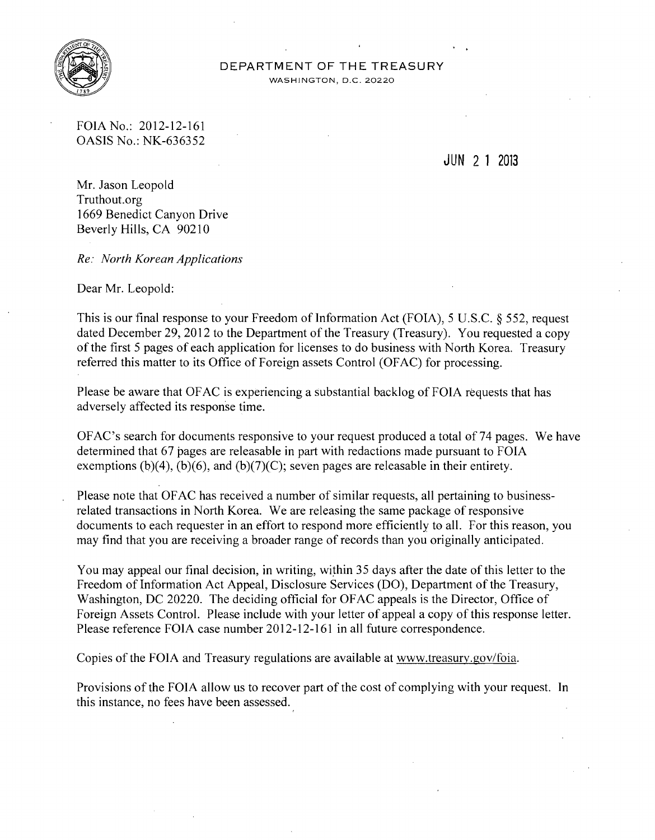

## DEPARTMENT OF THE TREASURY

WASHINGTON, D.C. 20220

FOIA No.: 2012-12-161 OASIS No.: NK-636352

JUN 2 1 2013

Mr. Jason Leopold Truthout.org 1669 Benedict Canyon Drive Beverly Hills, CA 90210

*Re: North Korean Applications* 

Dear Mr. Leopold:

This is our final response to your Freedom of Information Act (FOIA), 5 U.S.C.  $\S$  552, request dated December 29, 2012 to the Department of the Treasury (Treasury). You requested a copy of the first 5 pages of each application for licenses to do business with North Korea. Treasury referred this matter to its Office of Foreign assets Control (OFAC) for processing.

Please be aware that OF AC is experiencing a substantial backlog of FOIA requests that has adversely affected its response time.

OFAC's search for documents responsive to your request produced a total of74 pages. We have determined that 67 pages are releasable in part with redactions made pursuant to FOIA exemptions  $(b)(4)$ ,  $(b)(6)$ , and  $(b)(7)(C)$ ; seven pages are releasable in their entirety.

Please note that OF AC has received a number of similar requests, all pertaining to businessrelated transactions in North Korea. We are releasing the same package of responsive documents to each requester in an effort to respond more efficiently to all. For this reason, you may find that you are receiving a broader range of records than you originally anticipated.

You may appeal our final decision, in writing, within 35 days after the date of this letter to the Freedom of Information Act Appeal, Disclosure Services (DO), Department of the Treasury, Washington, DC 20220. The deciding official for OFAC appeals is the Director, Office of Foreign Assets Control. Please include with your letter of appeal a copy of this response letter. Please reference FOIA case number 2012-12-161 in all future correspondence.

Copies of the FOIA and Treasury regulations are available at www.treasury.gov/foia.

Provisions of the FOIA allow us to recover part of the cost of complying with your request. In this instance, no fees have been assessed.